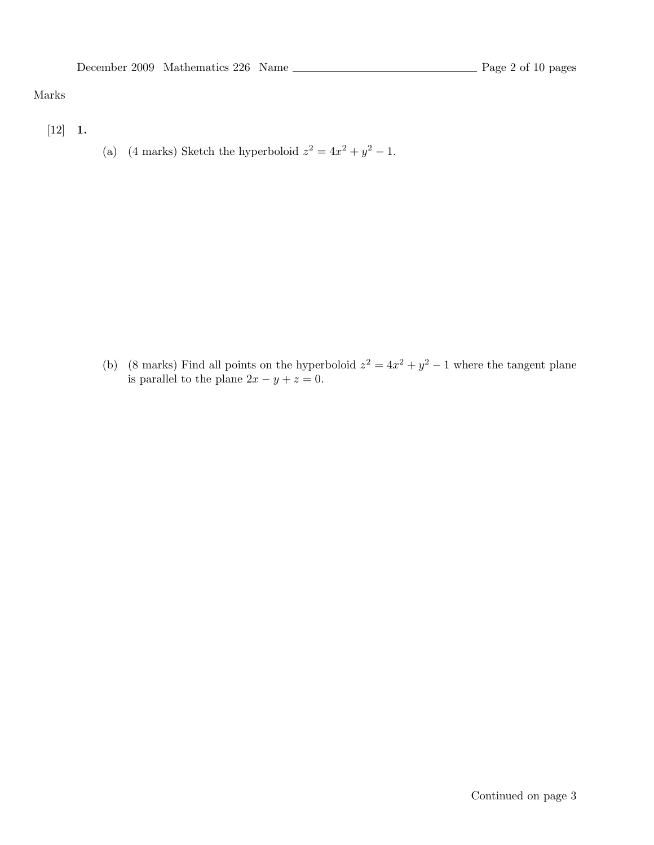### Marks

- $[12] 1.$
- (a) (4 marks) Sketch the hyperboloid  $z^2 = 4x^2 + y^2 1$ .

(b) (8 marks) Find all points on the hyperboloid  $z^2 = 4x^2 + y^2 - 1$  where the tangent plane is parallel to the plane  $2x - y + z = 0$ .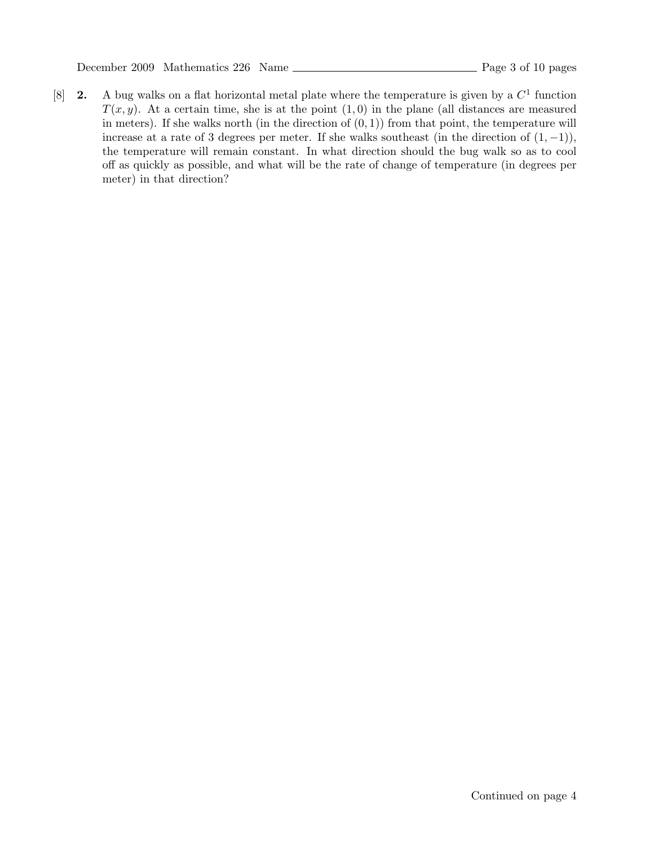[8] **2.** A bug walks on a flat horizontal metal plate where the temperature is given by a  $C<sup>1</sup>$  function  $T(x, y)$ . At a certain time, she is at the point  $(1, 0)$  in the plane (all distances are measured in meters). If she walks north (in the direction of  $(0, 1)$ ) from that point, the temperature will increase at a rate of 3 degrees per meter. If she walks southeast (in the direction of  $(1, -1)$ ), the temperature will remain constant. In what direction should the bug walk so as to cool off as quickly as possible, and what will be the rate of change of temperature (in degrees per meter) in that direction?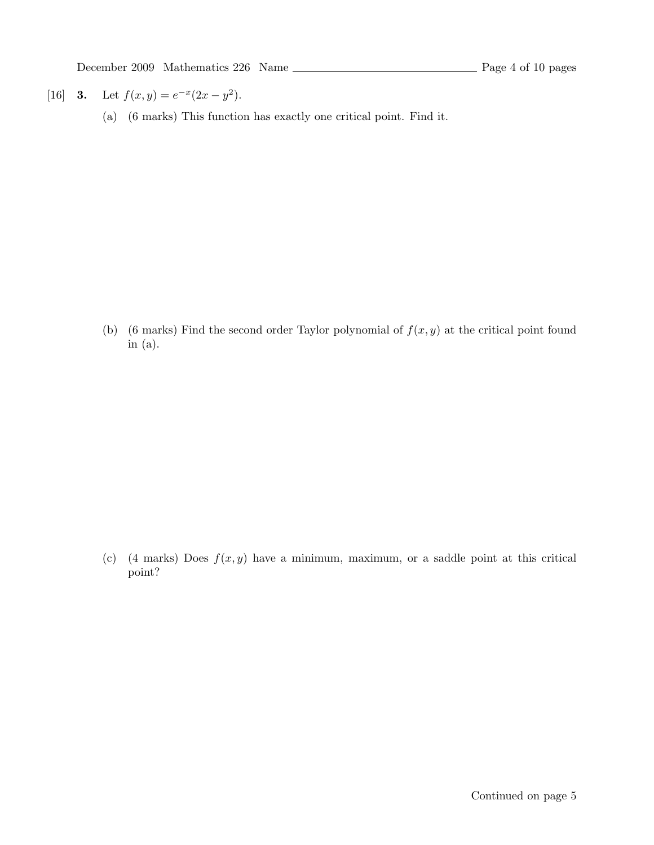[16] **3.** Let  $f(x, y) = e^{-x}(2x - y^2)$ .

(a) (6 marks) This function has exactly one critical point. Find it.

(b) (6 marks) Find the second order Taylor polynomial of  $f(x, y)$  at the critical point found in (a).

(c) (4 marks) Does  $f(x, y)$  have a minimum, maximum, or a saddle point at this critical point?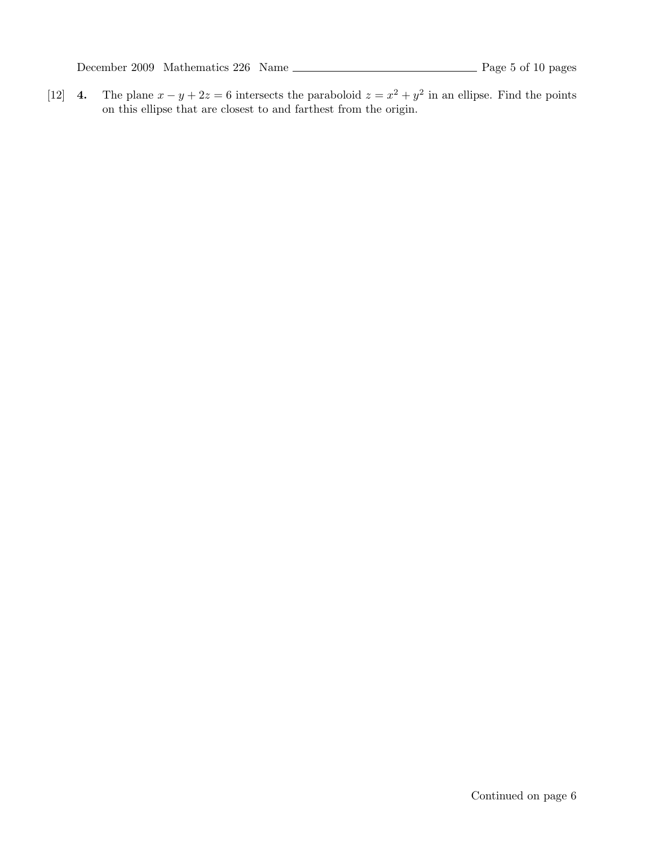December 2009 Mathematics 226 Name Page 5 of 10 pages

[12] 4. The plane  $x - y + 2z = 6$  intersects the paraboloid  $z = x^2 + y^2$  in an ellipse. Find the points on this ellipse that are closest to and farthest from the origin.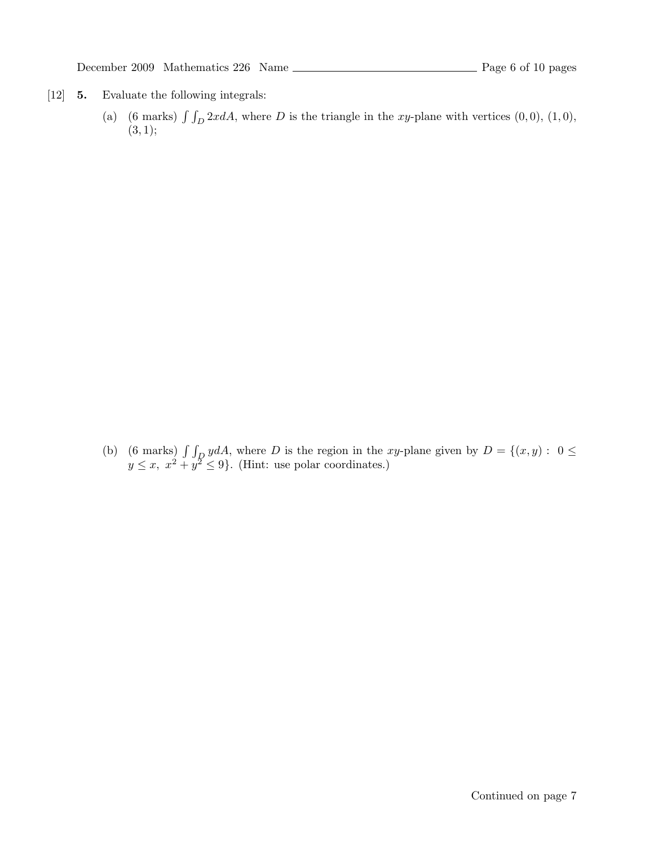- [12] 5. Evaluate the following integrals:
	- (a) (6 marks)  $\int \int_D 2x dA$ , where D is the triangle in the xy-plane with vertices (0,0), (1,0),  $(3, 1);$

(b) (6 marks)  $\int \int_D y dA$ , where D is the region in the xy-plane given by  $D = \{(x, y): 0 \leq$  $y \leq x, x^2 + y^2 \leq 9$ . (Hint: use polar coordinates.)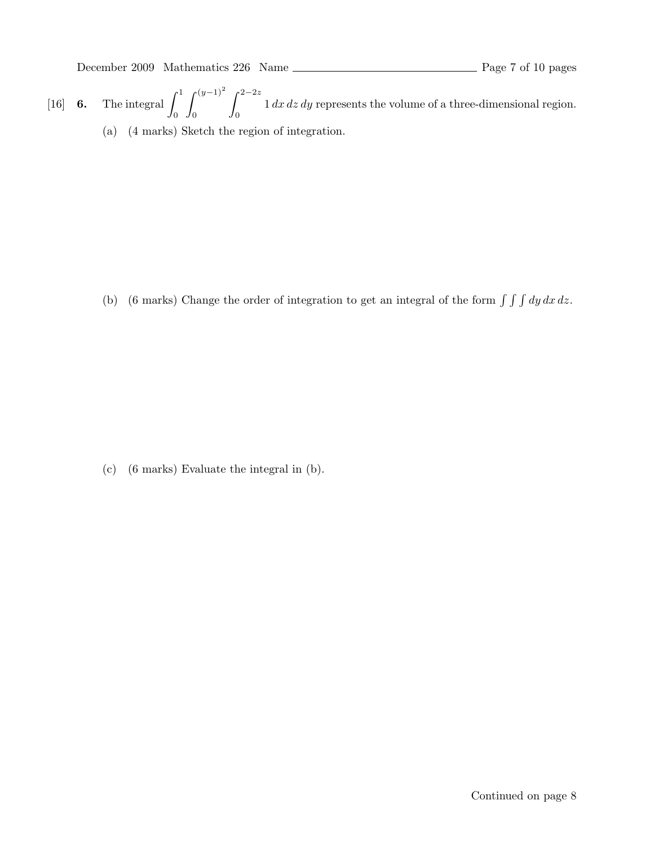- [16] **6.** The integral  $\int_1^1$ 0  $\int^{(y-1)^2}$ 0  $\int^{2-2z}$ 0  $1 dx dz dy$  represents the volume of a three-dimensional region.
	- (a) (4 marks) Sketch the region of integration.

(b) (6 marks) Change the order of integration to get an integral of the form  $\int \int \int dy \, dx \, dz$ .

(c) (6 marks) Evaluate the integral in (b).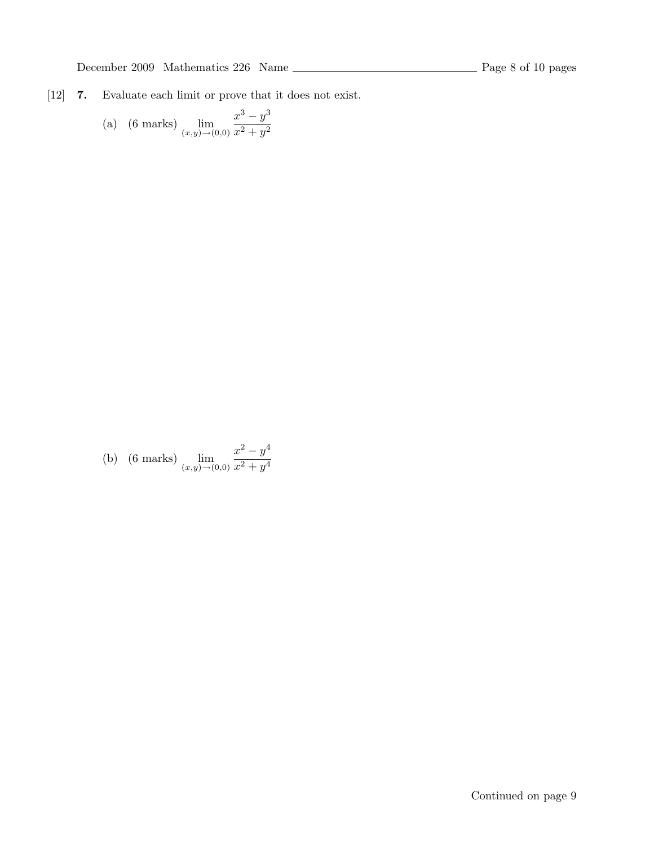[12] 7. Evaluate each limit or prove that it does not exist.

(a) (6 marks) 
$$
\lim_{(x,y)\to(0,0)}\frac{x^3-y^3}{x^2+y^2}
$$

(b) (6 marks) 
$$
\lim_{(x,y)\to(0,0)}\frac{x^2-y^4}{x^2+y^4}
$$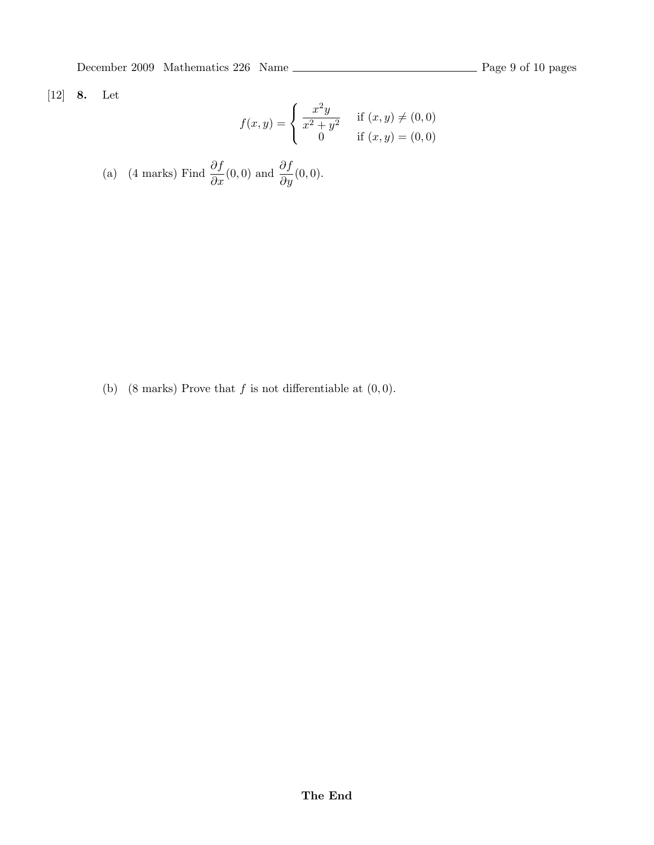December 2009 Mathematics 226 Name Page 9 of 10 pages

# [12] 8. Let

$$
f(x,y) = \begin{cases} \frac{x^2y}{x^2 + y^2} & \text{if } (x,y) \neq (0,0) \\ 0 & \text{if } (x,y) = (0,0) \end{cases}
$$

(a) (4 marks) Find 
$$
\frac{\partial f}{\partial x}(0,0)
$$
 and  $\frac{\partial f}{\partial y}(0,0)$ .

(b) (8 marks) Prove that  $f$  is not differentiable at  $(0, 0)$ .